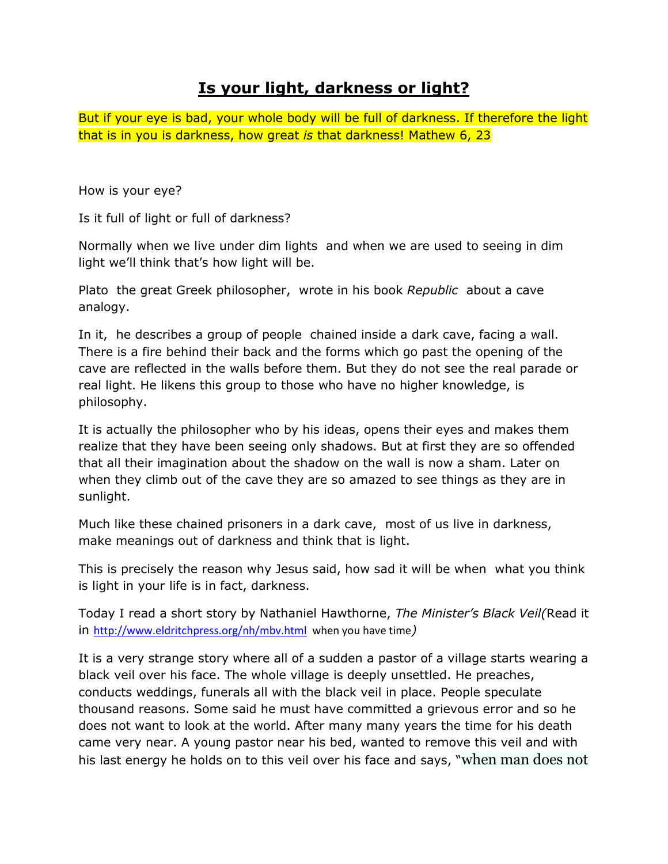## **Is your light, darkness or light?**

But if your eye is bad, your whole body will be full of darkness. If therefore the light that is in you is darkness, how great *is* that darkness! Mathew 6, 23

How is your eye?

Is it full of light or full of darkness?

Normally when we live under dim lights and when we are used to seeing in dim light we'll think that's how light will be.

Plato the great Greek philosopher, wrote in his book *Republic* about a cave analogy.

In it, he describes a group of people chained inside a dark cave, facing a wall. There is a fire behind their back and the forms which go past the opening of the cave are reflected in the walls before them. But they do not see the real parade or real light. He likens this group to those who have no higher knowledge, is philosophy.

It is actually the philosopher who by his ideas, opens their eyes and makes them realize that they have been seeing only shadows. But at first they are so offended that all their imagination about the shadow on the wall is now a sham. Later on when they climb out of the cave they are so amazed to see things as they are in sunlight.

Much like these chained prisoners in a dark cave, most of us live in darkness, make meanings out of darkness and think that is light.

This is precisely the reason why Jesus said, how sad it will be when what you think is light in your life is in fact, darkness.

Today I read a short story by Nathaniel Hawthorne, *The Minister's Black Veil(*Read it in <http://www.eldritchpress.org/nh/mbv.html>when you have time*)*

It is a very strange story where all of a sudden a pastor of a village starts wearing a black veil over his face. The whole village is deeply unsettled. He preaches, conducts weddings, funerals all with the black veil in place. People speculate thousand reasons. Some said he must have committed a grievous error and so he does not want to look at the world. After many many years the time for his death came very near. A young pastor near his bed, wanted to remove this veil and with his last energy he holds on to this veil over his face and says, "when man does not